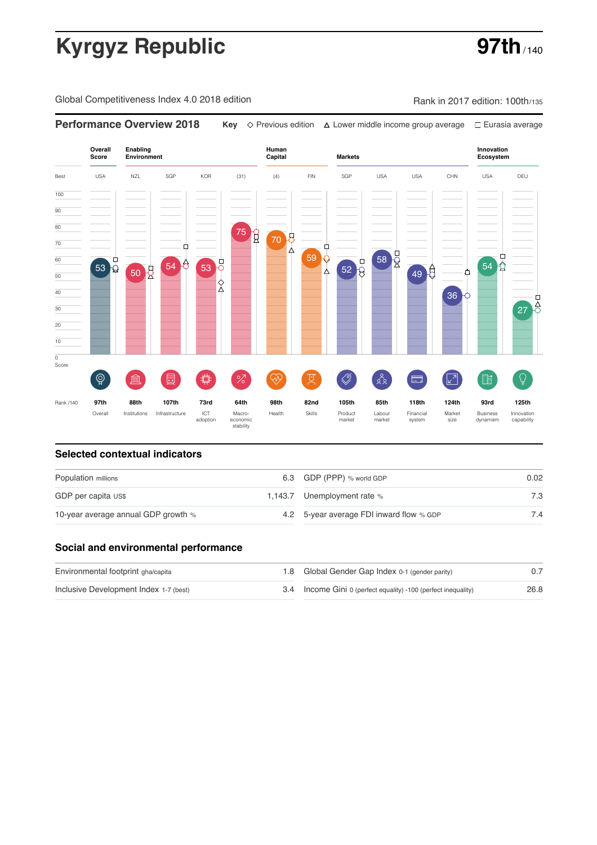# **Kyrgyz Republic 97th**

Global Competitiveness Index 4.0 2018 edition Company Rank in 2017 edition: 100th/135

**Performance Overview 2018 Key** Previous edition Lower middle income group average Eurasia average

**Overall Innovation Enabling Environment Human Capital Markets Score Ecosystem** Best USA NZL SGP KOR (31) (4) FIN SGP USA USA CHN USA DEU 100  $\overline{90}$ 80 75 g 70 70 Ò Ė 58 R 59 Q ₿ 60  $52<sup>1</sup>$ ₽  $54 \begin{array}{|c|c|} \hline 53 & 53 \end{array}$  $54 \overrightarrow{Q}$ 53 50 B  $\lambda$  $49<sup>0</sup>$ Ò 50 40 36  $\overline{27}$ 30 20 10  $\overline{\text{o}}$ Score ៍{៌្ម}  $\oslash$ ်ဇို **ledge (** 茴 %)(  $\circledcirc$  ( 及) Ē.  $\boxed{2}$ 酯  $\overline{Q}$ E Rank /140 **97th 88th 107th 73rd 64th 98th 82nd 105th 85th 118th 124th 93rd 125th** Overall Institutions Infrastructure ICT<br>adoption adoption Macro- economic stability Health Skills Product market Labour<br>market Financial system Market size Business dynamism Innovation capability

### **Selected contextual indicators**

| Population millions                 | 6.3 GDP (PPP) % world GDP                | 0.02 |  |
|-------------------------------------|------------------------------------------|------|--|
| GDP per capita US\$                 | 1,143.7 Unemployment rate %              | 7.3  |  |
| 10-year average annual GDP growth % | 4.2 5-year average FDI inward flow % GDP | 7.4  |  |

### **Social and environmental performance**

| Environmental footprint gha/capita     | 1.8 Global Gender Gap Index 0-1 (gender parity)                |      |
|----------------------------------------|----------------------------------------------------------------|------|
| Inclusive Development Index 1-7 (best) | 3.4 Income Gini 0 (perfect equality) -100 (perfect inequality) | 26.8 |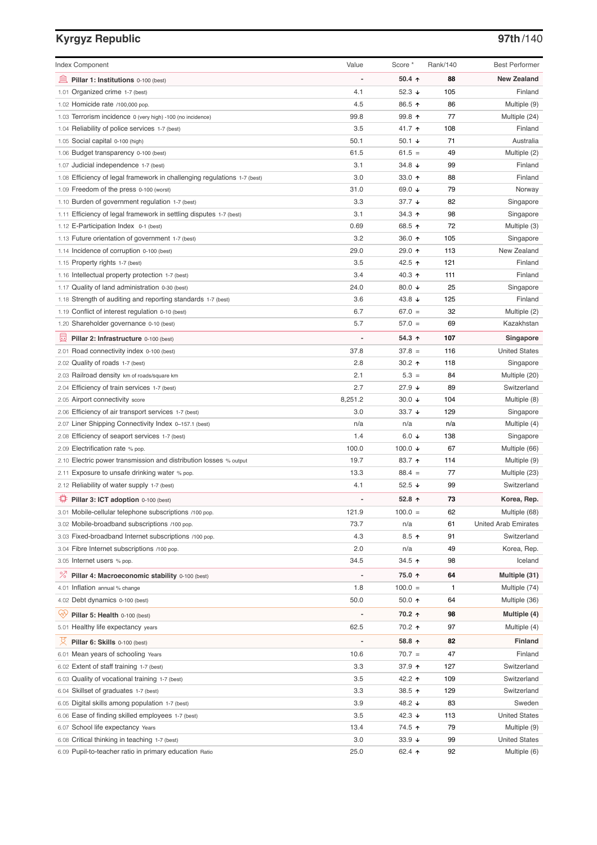# **Kyrgyz Republic 97th**/140

| <b>Index Component</b>                                                   | Value   | Score *              | <b>Rank/140</b> | <b>Best Performer</b>       |
|--------------------------------------------------------------------------|---------|----------------------|-----------------|-----------------------------|
| 寙<br>Pillar 1: Institutions 0-100 (best)                                 |         | 50.4 $\uparrow$      | 88              | <b>New Zealand</b>          |
| 1.01 Organized crime 1-7 (best)                                          | 4.1     | 52.3 $\sqrt{ }$      | 105             | Finland                     |
| 1.02 Homicide rate /100,000 pop.                                         | 4.5     | 86.5 ↑               | 86              | Multiple (9)                |
| 1.03 Terrorism incidence 0 (very high) -100 (no incidence)               | 99.8    | 99.8 ↑               | 77              | Multiple (24)               |
| 1.04 Reliability of police services 1-7 (best)                           | 3.5     | 41.7 ተ               | 108             | Finland                     |
| 1.05 Social capital 0-100 (high)                                         | 50.1    | 50.1 $\sqrt{ }$      | 71              | Australia                   |
| 1.06 Budget transparency 0-100 (best)                                    | 61.5    | $61.5 =$             | 49              | Multiple (2)                |
| 1.07 Judicial independence 1-7 (best)                                    | 3.1     | 34.8 $\sqrt{ }$      | 99              | Finland                     |
| 1.08 Efficiency of legal framework in challenging regulations 1-7 (best) | 3.0     | 33.0 $\uparrow$      | 88              | Finland                     |
| 1.09 Freedom of the press 0-100 (worst)                                  | 31.0    | 69.0 $\sqrt{ }$      | 79              | Norway                      |
| 1.10 Burden of government regulation 1-7 (best)                          | 3.3     | $37.7 \; \downarrow$ | 82              | Singapore                   |
| 1.11 Efficiency of legal framework in settling disputes 1-7 (best)       | 3.1     | 34.3 ↑               | 98              | Singapore                   |
| 1.12 E-Participation Index 0-1 (best)                                    | 0.69    | 68.5 ↑               | 72              | Multiple (3)                |
| 1.13 Future orientation of government 1-7 (best)                         | 3.2     | 36.0 ↑               | 105             | Singapore                   |
| 1.14 Incidence of corruption 0-100 (best)                                | 29.0    | 29.0 ↑               | 113             | New Zealand                 |
| 1.15 Property rights 1-7 (best)                                          | 3.5     | 42.5 ↑               | 121             | Finland                     |
| 1.16 Intellectual property protection 1-7 (best)                         | 3.4     | 40.3 $\uparrow$      | 111             | Finland                     |
| 1.17 Quality of land administration 0-30 (best)                          | 24.0    | 80.0 $\sqrt{ }$      | 25              | Singapore                   |
| 1.18 Strength of auditing and reporting standards 1-7 (best)             | 3.6     | 43.8 $\downarrow$    | 125             | Finland                     |
| 1.19 Conflict of interest regulation 0-10 (best)                         | 6.7     | $67.0 =$             | 32              | Multiple (2)                |
| 1.20 Shareholder governance 0-10 (best)                                  | 5.7     | $57.0 =$             | 69              | Kazakhstan                  |
|                                                                          |         |                      |                 |                             |
| 曼<br>Pillar 2: Infrastructure 0-100 (best)                               |         | 54.3 ↑               | 107             | Singapore                   |
| 2.01 Road connectivity index 0-100 (best)                                | 37.8    | $37.8 =$             | 116             | <b>United States</b>        |
| 2.02 Quality of roads 1-7 (best)                                         | 2.8     | 30.2 $\uparrow$      | 118             | Singapore                   |
| 2.03 Railroad density km of roads/square km                              | 2.1     | $5.3 =$              | 84              | Multiple (20)               |
| 2.04 Efficiency of train services 1-7 (best)                             | 2.7     | $27.9 +$             | 89              | Switzerland                 |
| 2.05 Airport connectivity score                                          | 8,251.2 | 30.0 $\sqrt{ }$      | 104             | Multiple (8)                |
| 2.06 Efficiency of air transport services 1-7 (best)                     | 3.0     | 33.7 $\sqrt{ }$      | 129             | Singapore                   |
| 2.07 Liner Shipping Connectivity Index 0-157.1 (best)                    | n/a     | n/a                  | n/a             | Multiple (4)                |
| 2.08 Efficiency of seaport services 1-7 (best)                           | 1.4     | $6.0 \div$           | 138             | Singapore                   |
| 2.09 Electrification rate % pop.                                         | 100.0   | 100.0 $\downarrow$   | 67              | Multiple (66)               |
| 2.10 Electric power transmission and distribution losses % output        | 19.7    | 83.7 1               | 114             | Multiple (9)                |
| 2.11 Exposure to unsafe drinking water % pop.                            | 13.3    | $88.4 =$             | 77              | Multiple (23)               |
| 2.12 Reliability of water supply 1-7 (best)                              | 4.1     | 52.5 $\sqrt{ }$      | 99              | Switzerland                 |
| ₩<br>Pillar 3: ICT adoption 0-100 (best)                                 |         | 52.8 $\uparrow$      | 73              | Korea, Rep.                 |
| 3.01 Mobile-cellular telephone subscriptions /100 pop.                   | 121.9   | $100.0 =$            | 62              | Multiple (68)               |
| 3.02 Mobile-broadband subscriptions /100 pop.                            | 73.7    | n/a                  | 61              | <b>United Arab Emirates</b> |
| 3.03 Fixed-broadband Internet subscriptions /100 pop.                    | 4.3     | $8.5$ ↑              | 91              | Switzerland                 |
| 3.04 Fibre Internet subscriptions /100 pop.                              | 2.0     | n/a                  | 49              | Korea, Rep.                 |
| 3.05 Internet users % pop.                                               | 34.5    | 34.5 ↑               | 98              | Iceland                     |
| <sup>%</sup> Pillar 4: Macroeconomic stability 0-100 (best)              |         | 75.0 ↑               | 64              | Multiple (31)               |
| 4.01 Inflation annual % change                                           | 1.8     | $100.0 =$            | 1               | Multiple (74)               |
| 4.02 Debt dynamics 0-100 (best)                                          | 50.0    | 50.0 ↑               | 64              | Multiple (36)               |
| Qiy<br>Pillar 5: Health 0-100 (best)                                     |         | 70.2 ↑               | 98              | Multiple (4)                |
| 5.01 Healthy life expectancy years                                       | 62.5    | 70.2 ↑               | 97              | Multiple (4)                |
|                                                                          |         |                      |                 |                             |
| Pillar 6: Skills 0-100 (best)                                            |         | 58.8 ↑               | 82              | <b>Finland</b>              |
| 6.01 Mean years of schooling Years                                       | 10.6    | $70.7 =$             | 47              | Finland                     |
| 6.02 Extent of staff training 1-7 (best)                                 | 3.3     | 37.9 个               | 127             | Switzerland                 |
| 6.03 Quality of vocational training 1-7 (best)                           | 3.5     | 42.2 ተ               | 109             | Switzerland                 |
| 6.04 Skillset of graduates 1-7 (best)                                    | 3.3     | 38.5 个               | 129             | Switzerland                 |
| 6.05 Digital skills among population 1-7 (best)                          | 3.9     | 48.2 ↓               | 83              | Sweden                      |
| 6.06 Ease of finding skilled employees 1-7 (best)                        | 3.5     | 42.3 $\sqrt{ }$      | 113             | <b>United States</b>        |
| 6.07 School life expectancy Years                                        | 13.4    | 74.5 ↑               | 79              | Multiple (9)                |
| 6.08 Critical thinking in teaching 1-7 (best)                            | 3.0     | 33.9 $\sqrt{ }$      | 99              | <b>United States</b>        |
| 6.09 Pupil-to-teacher ratio in primary education Ratio                   | 25.0    | 62.4 $\uparrow$      | 92              | Multiple (6)                |